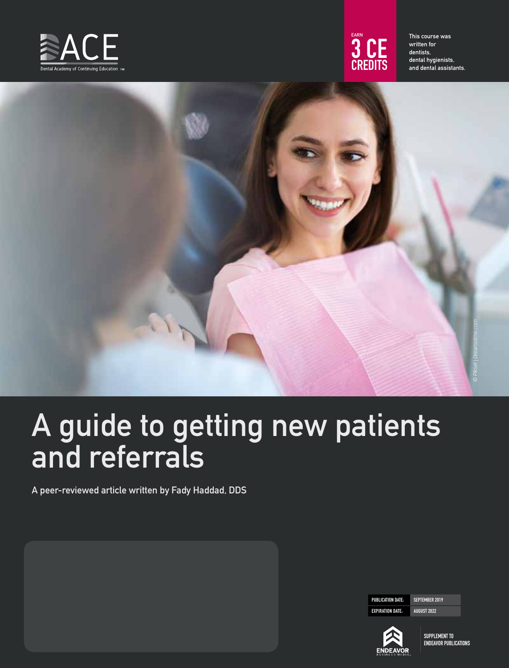



This course was written for dentists, dental hygienists, and dental assistants.



# A guide to getting new patients and referrals

A peer-reviewed article written by Fady Haddad, DDS

PUBLICATION DATE: SEPTEMBER 2019 EXPIRATION DATE: AUGUST 2022

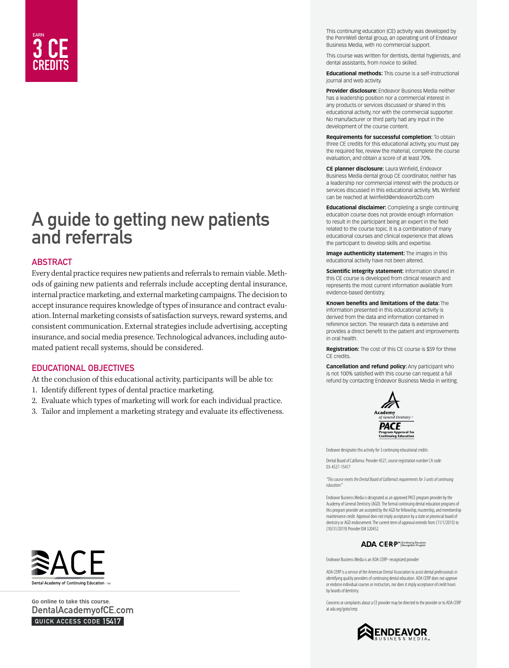## EARN 3 CE CREDITS

## A guide to getting new patients and referrals

#### **ABSTRACT**

Every dental practice requires new patients and referrals to remain viable. Methods of gaining new patients and referrals include accepting dental insurance, internal practice marketing, and external marketing campaigns. The decision to accept insurance requires knowledge of types of insurance and contract evaluation. Internal marketing consists of satisfaction surveys, reward systems, and consistent communication. External strategies include advertising, accepting insurance, and social media presence. Technological advances, including automated patient recall systems, should be considered.

#### EDUCATIONAL OBJECTIVES

At the conclusion of this educational activity, participants will be able to:

- 1. Identify different types of dental practice marketing.
- 2. Evaluate which types of marketing will work for each individual practice.
- 3. Tailor and implement a marketing strategy and evaluate its effectiveness.

This continuing education (CE) activity was developed by the PennWell dental group, an operating unit of Endeavor Business Media, with no commercial support.

This course was written for dentists, dental hygienists, and dental assistants, from novice to skilled.

**Educational methods:** This course is a self-instructional journal and web activity.

**Provider disclosure:** Endeavor Business Media neither has a leadership position nor a commercial interest in any products or services discussed or shared in this educational activity, nor with the commercial supporter. No manufacturer or third party had any input in the development of the course content.

**Requirements for successful completion:** To obtain three CE credits for this educational activity, you must pay the required fee, review the material, complete the course evaluation, and obtain a score of at least 70%.

**CE planner disclosure:** Laura Winfield, Endeavor Business Media dental group CE coordinator, neither has a leadership nor commercial interest with the products or services discussed in this educational activity. Ms. Winfield can be reached at lwinfield@endeavorb2b.com

**Educational disclaimer:** Completing a single continuing education course does not provide enough information to result in the participant being an expert in the field related to the course topic. It is a combination of many educational courses and clinical experience that allows the participant to develop skills and expertise.

**Image authenticity statement:** The images in this educational activity have not been altered.

**Scientific integrity statement:** Information shared in this CE course is developed from clinical research and represents the most current information available from evidence-based dentistry.

**Known benefits and limitations of the data:** The information presented in this educational activity is derived from the data and information contained in reference section. The research data is extensive and provides a direct benefit to the patient and improvements in oral health.

**Registration:** The cost of this CE course is \$59 for three CE credits.

**Cancellation and refund policy:**Any participant who is not 100% satisfied with this course can request a full refund by contacting Endeavor Business Media in writing.



Endeavor designates this activity for 3 continuing educational credits.

Dental Board of California: Provider 4527, course registration number CA code: 03-4527-15417

*"This course meets the Dental Board of California's requirements for 3 units of continuing*   $education$ .

Endeavor Business Media is designated as an approved PACE program provider by the Academy of General Dentistry (AGD). The formal continuing dental education programs of this program provider are accepted by the AGD for fellowship, mastership, and membership maintenance credit. Approval does not imply acceptance by a state or provincial board of dentistry or AGD endorsement. The current term of approval extends from (11/1/2015) to (10/31/2019) Provider ID# 320452.

#### ADA CERP<sup>®</sup> Recognition Program

Endeavor Business Media is an ADA CERP–recognized provider

ADA CERP is a service of the American Dental Association to assist dental professionals in identifying quality providers of continuing dental education. ADA CERP does not approve or endorse individual courses or instructors, nor does it imply acceptance of credit hours by boards of dentistry.

Concerns or complaints about a CE provider may be directed to the provider or to ADA CERP at ada.org/goto/cerp.





**Go online to take this course.**  DentalAcademyofCE.com QUICK ACCESS CODE 15417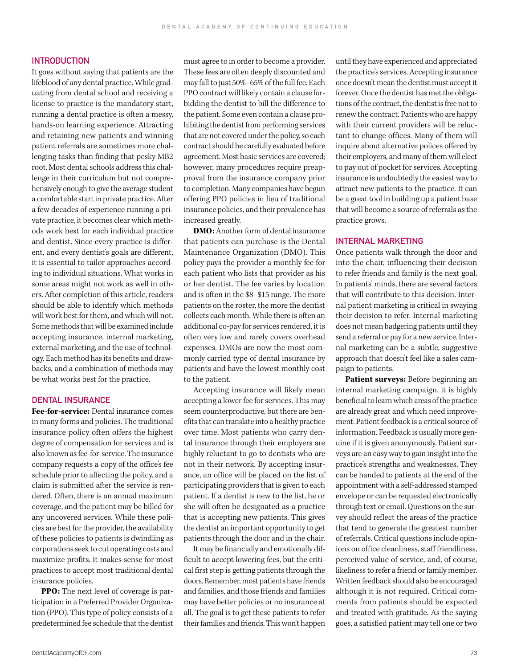#### INTRODUCTION

It goes without saying that patients are the lifeblood of any dental practice. While graduating from dental school and receiving a license to practice is the mandatory start, running a dental practice is often a messy, hands-on learning experience. Attracting and retaining new patients and winning patient referrals are sometimes more challenging tasks than finding that pesky MB2 root. Most dental schools address this challenge in their curriculum but not comprehensively enough to give the average student a comfortable start in private practice. After a few decades of experience running a private practice, it becomes clear which methods work best for each individual practice and dentist. Since every practice is different, and every dentist's goals are different, it is essential to tailor approaches according to individual situations. What works in some areas might not work as well in others. After completion of this article, readers should be able to identify which methods will work best for them, and which will not. Some methods that will be examined include accepting insurance, internal marketing, external marketing, and the use of technology. Each method has its benefits and drawbacks, and a combination of methods may be what works best for the practice.

#### DENTAL INSURANCE

**Fee-for-service:** Dental insurance comes in many forms and policies. The traditional insurance policy often offers the highest degree of compensation for services and is also known as fee-for-service. The insurance company requests a copy of the office's fee schedule prior to affecting the policy, and a claim is submitted after the service is rendered. Often, there is an annual maximum coverage, and the patient may be billed for any uncovered services. While these policies are best for the provider, the availability of these policies to patients is dwindling as corporations seek to cut operating costs and maximize profits. It makes sense for most practices to accept most traditional dental insurance policies.

**PPO:** The next level of coverage is participation in a Preferred Provider Organization (PPO). This type of policy consists of a predetermined fee schedule that the dentist must agree to in order to become a provider. These fees are often deeply discounted and may fall to just 50%–65% of the full fee. Each PPO contract will likely contain a clause forbidding the dentist to bill the difference to the patient. Some even contain a clause prohibiting the dentist from performing services that are not covered under the policy, so each contract should be carefully evaluated before agreement. Most basic services are covered; however, many procedures require preapproval from the insurance company prior to completion. Many companies have begun offering PPO policies in lieu of traditional insurance policies, and their prevalence has increased greatly.

**DMO:** Another form of dental insurance that patients can purchase is the Dental Maintenance Organization (DMO). This policy pays the provider a monthly fee for each patient who lists that provider as his or her dentist. The fee varies by location and is often in the \$8–\$15 range. The more patients on the roster, the more the dentist collects each month. While there is often an additional co-pay for services rendered, it is often very low and rarely covers overhead expenses. DMOs are now the most commonly carried type of dental insurance by patients and have the lowest monthly cost to the patient.

Accepting insurance will likely mean accepting a lower fee for services. This may seem counterproductive, but there are benefits that can translate into a healthy practice over time. Most patients who carry dental insurance through their employers are highly reluctant to go to dentists who are not in their network. By accepting insurance, an office will be placed on the list of participating providers that is given to each patient. If a dentist is new to the list, he or she will often be designated as a practice that is accepting new patients. This gives the dentist an important opportunity to get patients through the door and in the chair.

It may be financially and emotionally difficult to accept lowering fees, but the critical first step is getting patients through the doors. Remember, most patients have friends and families, and those friends and families may have better policies or no insurance at all. The goal is to get these patients to refer their families and friends. This won't happen until they have experienced and appreciated the practice's services. Accepting insurance once doesn't mean the dentist must accept it forever. Once the dentist has met the obligations of the contract, the dentist is free not to renew the contract. Patients who are happy with their current providers will be reluctant to change offices. Many of them will inquire about alternative polices offered by their employers, and many of them will elect to pay out of pocket for services. Accepting insurance is undoubtedly the easiest way to attract new patients to the practice. It can be a great tool in building up a patient base that will become a source of referrals as the practice grows.

#### INTERNAL MARKETING

Once patients walk through the door and into the chair, influencing their decision to refer friends and family is the next goal. In patients' minds, there are several factors that will contribute to this decision. Internal patient marketing is critical in swaying their decision to refer. Internal marketing does not mean badgering patients until they send a referral or pay for a new service. Internal marketing can be a subtle, suggestive approach that doesn't feel like a sales campaign to patients.

**Patient surveys:** Before beginning an internal marketing campaign, it is highly beneficial to learn which areas of the practice are already great and which need improvement. Patient feedback is a critical source of information. Feedback is usually more genuine if it is given anonymously. Patient surveys are an easy way to gain insight into the practice's strengths and weaknesses. They can be handed to patients at the end of the appointment with a self-addressed stamped envelope or can be requested electronically through text or email. Questions on the survey should reflect the areas of the practice that tend to generate the greatest number of referrals. Critical questions include opinions on office cleanliness, staff friendliness, perceived value of service, and, of course, likeliness to refer a friend or family member. Written feedback should also be encouraged although it is not required. Critical comments from patients should be expected and treated with gratitude. As the saying goes, a satisfied patient may tell one or two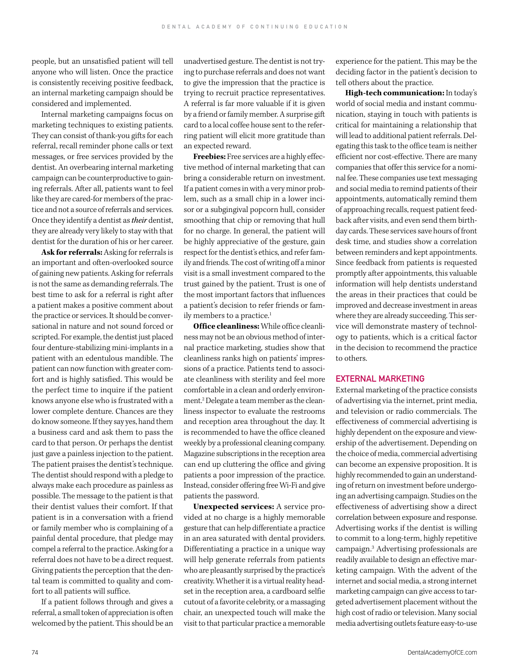people, but an unsatisfied patient will tell anyone who will listen. Once the practice is consistently receiving positive feedback, an internal marketing campaign should be considered and implemented.

Internal marketing campaigns focus on marketing techniques to existing patients. They can consist of thank-you gifts for each referral, recall reminder phone calls or text messages, or free services provided by the dentist. An overbearing internal marketing campaign can be counterproductive to gaining referrals. After all, patients want to feel like they are cared-for members of the practice and not a source of referrals and services. Once they identify a dentist as *their* dentist, they are already very likely to stay with that dentist for the duration of his or her career.

**Ask for referrals:** Asking for referrals is an important and often-overlooked source of gaining new patients. Asking for referrals is not the same as demanding referrals. The best time to ask for a referral is right after a patient makes a positive comment about the practice or services. It should be conversational in nature and not sound forced or scripted. For example, the dentist just placed four denture-stabilizing mini-implants in a patient with an edentulous mandible. The patient can now function with greater comfort and is highly satisfied. This would be the perfect time to inquire if the patient knows anyone else who is frustrated with a lower complete denture. Chances are they do know someone. If they say yes, hand them a business card and ask them to pass the card to that person. Or perhaps the dentist just gave a painless injection to the patient. The patient praises the dentist's technique. The dentist should respond with a pledge to always make each procedure as painless as possible. The message to the patient is that their dentist values their comfort. If that patient is in a conversation with a friend or family member who is complaining of a painful dental procedure, that pledge may compel a referral to the practice. Asking for a referral does not have to be a direct request. Giving patients the perception that the dental team is committed to quality and comfort to all patients will suffice.

If a patient follows through and gives a referral, a small token of appreciation is often welcomed by the patient. This should be an

unadvertised gesture. The dentist is not trying to purchase referrals and does not want to give the impression that the practice is trying to recruit practice representatives. A referral is far more valuable if it is given by a friend or family member. A surprise gift card to a local coffee house sent to the referring patient will elicit more gratitude than an expected reward.

**Freebies:** Free services are a highly effective method of internal marketing that can bring a considerable return on investment. If a patient comes in with a very minor problem, such as a small chip in a lower incisor or a subgingival popcorn hull, consider smoothing that chip or removing that hull for no charge. In general, the patient will be highly appreciative of the gesture, gain respect for the dentist's ethics, and refer family and friends. The cost of writing off a minor visit is a small investment compared to the trust gained by the patient. Trust is one of the most important factors that influences a patient's decision to refer friends or family members to a practice.<sup>1</sup>

**Office cleanliness:** While office cleanliness may not be an obvious method of internal practice marketing, studies show that cleanliness ranks high on patients' impressions of a practice. Patients tend to associate cleanliness with sterility and feel more comfortable in a clean and orderly environment.2 Delegate a team member as the cleanliness inspector to evaluate the restrooms and reception area throughout the day. It is recommended to have the office cleaned weekly by a professional cleaning company. Magazine subscriptions in the reception area can end up cluttering the office and giving patients a poor impression of the practice. Instead, consider offering free Wi-Fi and give patients the password.

**Unexpected services:** A service provided at no charge is a highly memorable gesture that can help differentiate a practice in an area saturated with dental providers. Differentiating a practice in a unique way will help generate referrals from patients who are pleasantly surprised by the practice's creativity. Whether it is a virtual reality headset in the reception area, a cardboard selfie cutout of a favorite celebrity, or a massaging chair, an unexpected touch will make the visit to that particular practice a memorable experience for the patient. This may be the deciding factor in the patient's decision to tell others about the practice.

**High-tech communication:** In today's world of social media and instant communication, staying in touch with patients is critical for maintaining a relationship that will lead to additional patient referrals. Delegating this task to the office team is neither efficient nor cost-effective. There are many companies that offer this service for a nominal fee. These companies use text messaging and social media to remind patients of their appointments, automatically remind them of approaching recalls, request patient feedback after visits, and even send them birthday cards. These services save hours of front desk time, and studies show a correlation between reminders and kept appointments. Since feedback from patients is requested promptly after appointments, this valuable information will help dentists understand the areas in their practices that could be improved and decrease investment in areas where they are already succeeding. This service will demonstrate mastery of technology to patients, which is a critical factor in the decision to recommend the practice to others.

#### EXTERNAL MARKETING

External marketing of the practice consists of advertising via the internet, print media, and television or radio commercials. The effectiveness of commercial advertising is highly dependent on the exposure and viewership of the advertisement. Depending on the choice of media, commercial advertising can become an expensive proposition. It is highly recommended to gain an understanding of return on investment before undergoing an advertising campaign. Studies on the effectiveness of advertising show a direct correlation between exposure and response. Advertising works if the dentist is willing to commit to a long-term, highly repetitive campaign.3 Advertising professionals are readily available to design an effective marketing campaign. With the advent of the internet and social media, a strong internet marketing campaign can give access to targeted advertisement placement without the high cost of radio or television. Many social media advertising outlets feature easy-to-use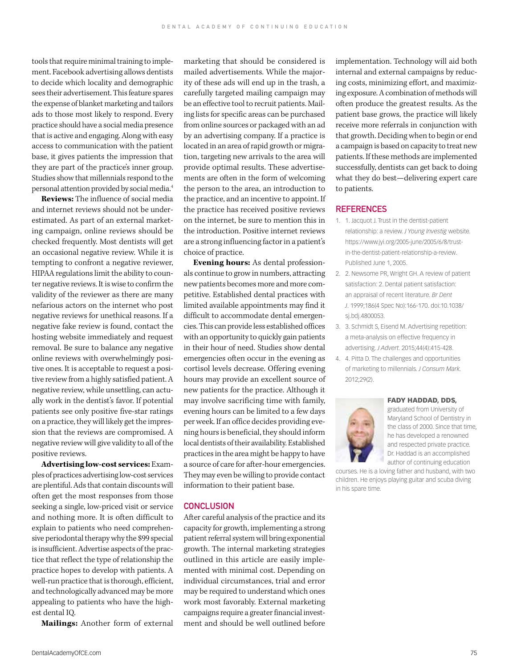tools that require minimal training to implement. Facebook advertising allows dentists to decide which locality and demographic sees their advertisement. This feature spares the expense of blanket marketing and tailors ads to those most likely to respond. Every practice should have a social media presence that is active and engaging. Along with easy access to communication with the patient base, it gives patients the impression that they are part of the practice's inner group. Studies show that millennials respond to the personal attention provided by social media.4

**Reviews:** The influence of social media and internet reviews should not be underestimated. As part of an external marketing campaign, online reviews should be checked frequently. Most dentists will get an occasional negative review. While it is tempting to confront a negative reviewer, HIPAA regulations limit the ability to counter negative reviews. It is wise to confirm the validity of the reviewer as there are many nefarious actors on the internet who post negative reviews for unethical reasons. If a negative fake review is found, contact the hosting website immediately and request removal. Be sure to balance any negative online reviews with overwhelmingly positive ones. It is acceptable to request a positive review from a highly satisfied patient. A negative review, while unsettling, can actually work in the dentist's favor. If potential patients see only positive five-star ratings on a practice, they will likely get the impression that the reviews are compromised. A negative review will give validity to all of the positive reviews.

**Advertising low-cost services:** Examples of practices advertising low-cost services are plentiful. Ads that contain discounts will often get the most responses from those seeking a single, low-priced visit or service and nothing more. It is often difficult to explain to patients who need comprehensive periodontal therapy why the \$99 special is insufficient. Advertise aspects of the practice that reflect the type of relationship the practice hopes to develop with patients. A well-run practice that is thorough, efficient, and technologically advanced may be more appealing to patients who have the highest dental IQ.

**Mailings:** Another form of external

marketing that should be considered is mailed advertisements. While the majority of these ads will end up in the trash, a carefully targeted mailing campaign may be an effective tool to recruit patients. Mailing lists for specific areas can be purchased from online sources or packaged with an ad by an advertising company. If a practice is located in an area of rapid growth or migration, targeting new arrivals to the area will provide optimal results. These advertisements are often in the form of welcoming the person to the area, an introduction to the practice, and an incentive to appoint. If the practice has received positive reviews on the internet, be sure to mention this in the introduction. Positive internet reviews are a strong influencing factor in a patient's choice of practice.

**Evening hours:** As dental professionals continue to grow in numbers, attracting new patients becomes more and more competitive. Established dental practices with limited available appointments may find it difficult to accommodate dental emergencies. This can provide less established offices with an opportunity to quickly gain patients in their hour of need. Studies show dental emergencies often occur in the evening as cortisol levels decrease. Offering evening hours may provide an excellent source of new patients for the practice. Although it may involve sacrificing time with family, evening hours can be limited to a few days per week. If an office decides providing evening hours is beneficial, they should inform local dentists of their availability. Established practices in the area might be happy to have a source of care for after-hour emergencies. They may even be willing to provide contact information to their patient base.

#### **CONCLUSION**

After careful analysis of the practice and its capacity for growth, implementing a strong patient referral system will bring exponential growth. The internal marketing strategies outlined in this article are easily implemented with minimal cost. Depending on individual circumstances, trial and error may be required to understand which ones work most favorably. External marketing campaigns require a greater financial investment and should be well outlined before

implementation. Technology will aid both internal and external campaigns by reducing costs, minimizing effort, and maximizing exposure. A combination of methods will often produce the greatest results. As the patient base grows, the practice will likely receive more referrals in conjunction with that growth. Deciding when to begin or end a campaign is based on capacity to treat new patients. If these methods are implemented successfully, dentists can get back to doing what they do best—delivering expert care to patients.

#### **REFERENCES**

- 1. 1. Jacquot J. Trust in the dentist-patient relationship: a review. *J Young Investig* website. https://www.jyi.org/2005-june/2005/6/8/trustin-the-dentist-patient-relationship-a-review. Published June 1, 2005.
- 2. 2. Newsome PR, Wright GH. A review of patient satisfaction: 2. Dental patient satisfaction: an appraisal of recent literature. *Br Dent J*. 1999;186(4 Spec No):166-170. doi:10.1038/ sj.bdj.4800053.
- 3. 3. Schmidt S, Eisend M. Advertising repetition: a meta-analysis on effective frequency in advertising. *J Advert.* 2015;44(4):415-428.
- 4. 4. Pitta D. The challenges and opportunities of marketing to millennials. *J Consum Mark.*  2012;29(2).

#### FADY HADDAD, DDS,



graduated from University of Maryland School of Dentistry in the class of 2000. Since that time, he has developed a renowned and respected private practice. Dr. Haddad is an accomplished author of continuing education

courses. He is a loving father and husband, with two children. He enjoys playing guitar and scuba diving in his spare time.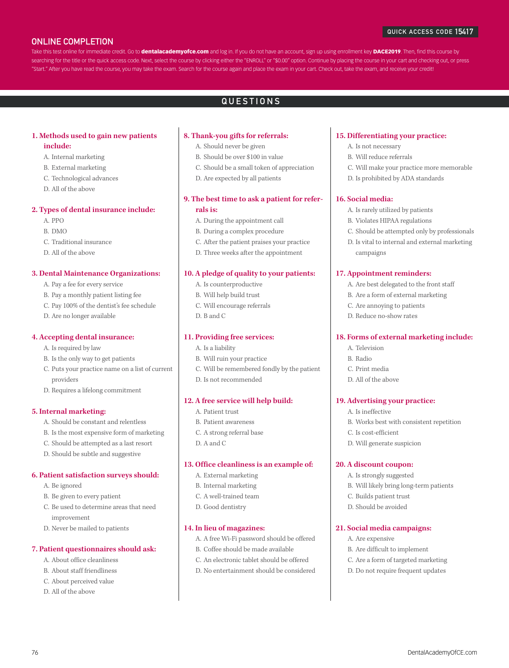### ONLINE COMPLETION

#### QUICK ACCESS CODE 15417

Take this test online for immediate credit. Go to dentalacademyofce.com and log in. If you do not have an account, sign up using enrollment key DACE2019. Then, find this course by searching for the title or the quick access code. Next, select the course by clicking either the "ENROLL" or "\$0.00" option. Continue by placing the course in your cart and checking out, or press "Start." After you have read the course, you may take the exam. Search for the course again and place the exam in your cart. Check out, take the exam, and receive your credit!

### QUESTIONS

#### **1. Methods used to gain new patients include:**

- A. Internal marketing
- B. External marketing
- C. Technological advances
- D. All of the above

#### **2. Types of dental insurance include:**

- A. PPO
- B. DMO
- C. Traditional insurance
- D. All of the above

#### **3. Dental Maintenance Organizations:**

- A. Pay a fee for every service
- B. Pay a monthly patient listing fee
- C. Pay 100% of the dentist's fee schedule
- D. Are no longer available

#### **4. Accepting dental insurance:**

- A. Is required by law
- B. Is the only way to get patients
- C. Puts your practice name on a list of current providers
- D. Requires a lifelong commitment

#### **5. Internal marketing:**

- A. Should be constant and relentless
- B. Is the most expensive form of marketing
- C. Should be attempted as a last resort
- D. Should be subtle and suggestive

#### **6. Patient satisfaction surveys should:**

- A. Be ignored
- B. Be given to every patient
- C. Be used to determine areas that need improvement
- D. Never be mailed to patients

#### **7. Patient questionnaires should ask:**

- A. About office cleanliness
- B. About staff friendliness
- C. About perceived value
- D. All of the above

#### **8. Thank-you gifts for referrals:**

- A. Should never be given
- B. Should be over \$100 in value
- C. Should be a small token of appreciation
- D. Are expected by all patients

#### **9. The best time to ask a patient for referrals is:**

- A. During the appointment call
- B. During a complex procedure
- C. After the patient praises your practice
- D. Three weeks after the appointment

#### **10. A pledge of quality to your patients:**

- A. Is counterproductive
- B. Will help build trust
- C. Will encourage referrals
- D. B and C

#### **11. Providing free services:**

- A. Is a liability
- B. Will ruin your practice
- C. Will be remembered fondly by the patient
- D. Is not recommended

#### **12. A free service will help build:**

- A. Patient trust
- B. Patient awareness
- C. A strong referral base
- D. A and C

#### **13. Office cleanliness is an example of:**

- A. External marketing
- B. Internal marketing
- C. A well-trained team
- D. Good dentistry

#### **14. In lieu of magazines:**

- A. A free Wi-Fi password should be offered
- B. Coffee should be made available
- C. An electronic tablet should be offered
- D. No entertainment should be considered

76 DentalAcademyOfCE.com

#### **15. Differentiating your practice:**

- A. Is not necessary
- B. Will reduce referrals
- C. Will make your practice more memorable
- D. Is prohibited by ADA standards

#### **16. Social media:**

- A. Is rarely utilized by patients
- B. Violates HIPAA regulations
- C. Should be attempted only by professionals
- D. Is vital to internal and external marketing campaigns

#### **17. Appointment reminders:**

- A. Are best delegated to the front staff
- B. Are a form of external marketing
- C. Are annoying to patients
- D. Reduce no-show rates

#### **18. Forms of external marketing include:**

- A. Television
- B. Radio
- C. Print media
- D. All of the above

#### **19. Advertising your practice:**

- A. Is ineffective
- B. Works best with consistent repetition

B. Will likely bring long-term patients

- C. Is cost-efficient
- D. Will generate suspicion

#### **20. A discount coupon:** A. Is strongly suggested

C. Builds patient trust D. Should be avoided

**21. Social media campaigns:**  A. Are expensive

> B. Are difficult to implement C. Are a form of targeted marketing D. Do not require frequent updates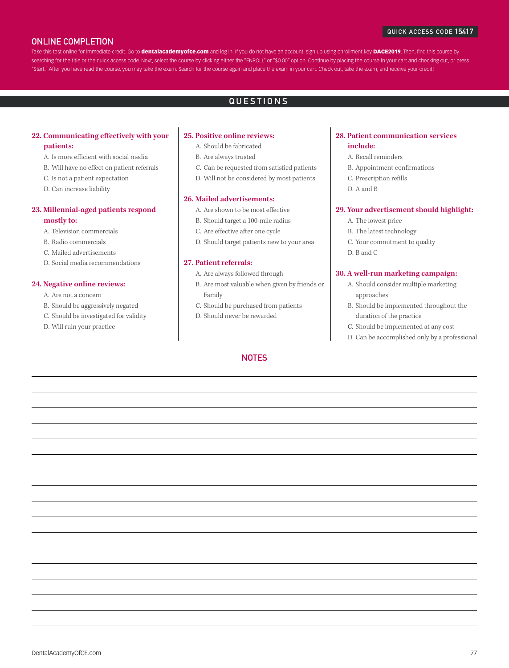#### QUICK ACCESS CODE 15417

#### ONLINE COMPLETION

Take this test online for immediate credit. Go to dentalacademyofce.com and log in. If you do not have an account, sign up using enrollment key DACE2019. Then, find this course by searching for the title or the quick access code. Next, select the course by clicking either the "ENROLL" or "\$0.00" option. Continue by placing the course in your cart and checking out, or press "Start." After you have read the course, you may take the exam. Search for the course again and place the exam in your cart. Check out, take the exam, and receive your credit!

### QUESTIONS

#### **22. Communicating effectively with your patients:**

- A. Is more efficient with social media
- B. Will have no effect on patient referrals
- C. Is not a patient expectation
- D. Can increase liability

## **23. Millennial-aged patients respond**

#### **mostly to:**

- A. Television commercials
- B. Radio commercials
- C. Mailed advertisements
- D. Social media recommendations

#### **24. Negative online reviews:**

- A. Are not a concern
- B. Should be aggressively negated
- C. Should be investigated for validity
- D. Will ruin your practice

#### **25. Positive online reviews:**

- A. Should be fabricated
- B. Are always trusted
- C. Can be requested from satisfied patients
- D. Will not be considered by most patients

#### **26. Mailed advertisements:**

- A. Are shown to be most effective
- B. Should target a 100-mile radius
- C. Are effective after one cycle
- D. Should target patients new to your area

#### **27. Patient referrals:**

- A. Are always followed through
- B. Are most valuable when given by friends or Family
- C. Should be purchased from patients
- D. Should never be rewarded

#### **NOTES**

#### **28. Patient communication services include:**

- A. Recall reminders
- B. Appointment confirmations
- C. Prescription refills
- D. A and B

#### **29. Your advertisement should highlight:**

- A. The lowest price
- B. The latest technology
- C. Your commitment to quality
- D. B and C

#### **30. A well-run marketing campaign:**

- A. Should consider multiple marketing approaches
- B. Should be implemented throughout the duration of the practice
- C. Should be implemented at any cost
- D. Can be accomplished only by a professional